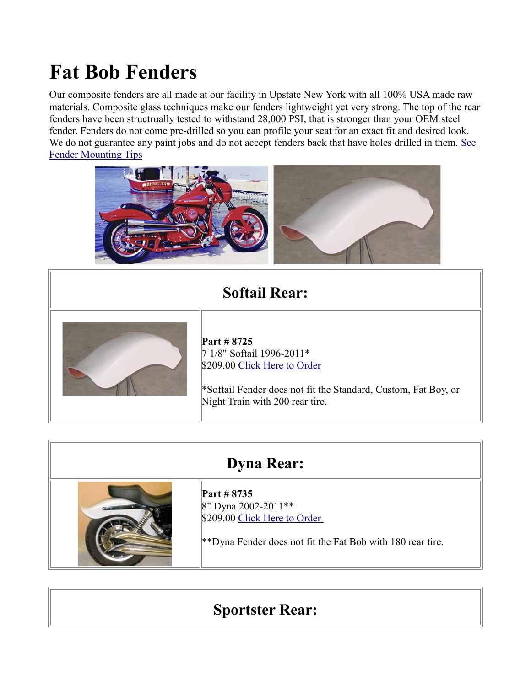# **Fat Bob Fenders**

Our composite fenders are all made at our facility in Upstate New York with all 100% USA made raw materials. Composite glass techniques make our fenders lightweight yet very strong. The top of the rear fenders have been structrually tested to withstand 28,000 PSI, that is stronger than your OEM steel fender. Fenders do not come pre-drilled so you can profile your seat for an exact fit and desired look. We do not guarantee any paint jobs and do not accept fenders back that have holes drilled in them. See [Fender Mounting Tips](http://sumax.com/Instructions/Fender%20Mounting%20Tips.pdf)



### **Softail Rear:**



**Part # 8725** 7 1/8" Softail 1996-2011\* \$209.00 [Click Here to Order](http://sumax.stores.yahoo.net/nelofanopl20.html)

\*Softail Fender does not fit the Standard, Custom, Fat Boy, or Night Train with 200 rear tire.

#### **Dyna Rear:**



**Part # 8735** 8" Dyna 2002-2011\*\* \$209.00 Click Here to Order

\*\*Dyna Fender does not fit the Fat Bob with 180 rear tire.

## **Sportster Rear:**